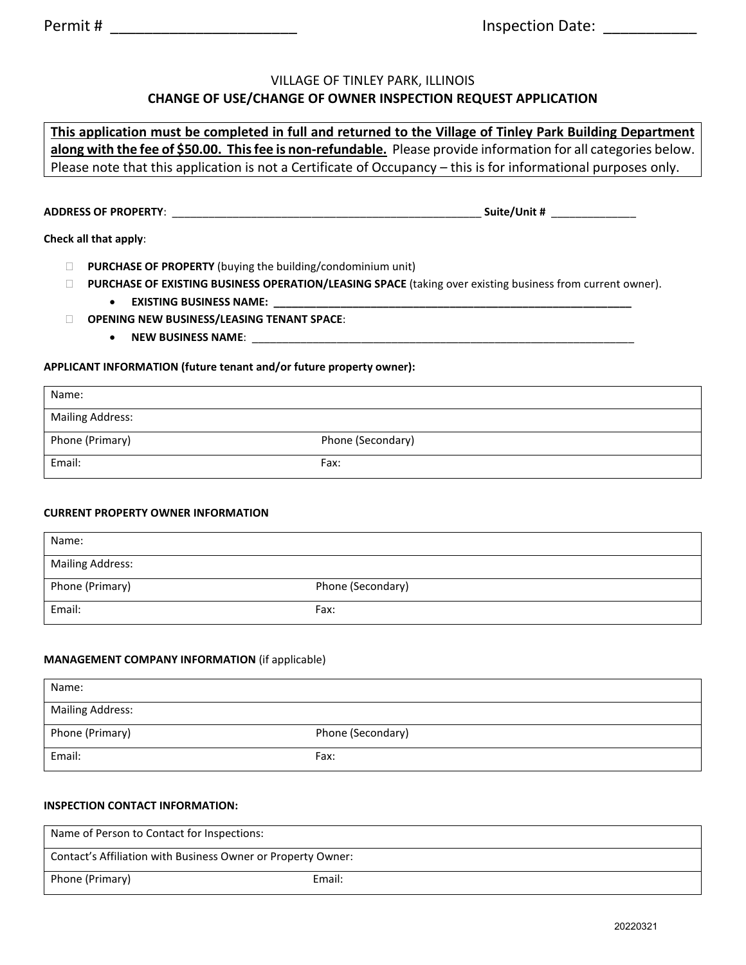## VILLAGE OF TINLEY PARK, ILLINOIS **CHANGE OF USE/CHANGE OF OWNER INSPECTION REQUEST APPLICATION**

# **This application must be completed in full and returned to the Village of Tinley Park Building Department along with the fee of \$50.00. This fee is non-refundable.** Please provide information for all categories below. Please note that this application is not a Certificate of Occupancy – this is for informational purposes only.

**ADDRESS OF PROPERTY**: \_\_\_\_\_\_\_\_\_\_\_\_\_\_\_\_\_\_\_\_\_\_\_\_\_\_\_\_\_\_\_\_\_\_\_\_\_\_\_\_\_\_\_\_\_\_\_\_\_\_\_ **Suite/Unit #** \_\_\_\_\_\_\_\_\_\_\_\_\_\_

|  |  |  | Check all that apply: |  |
|--|--|--|-----------------------|--|
|--|--|--|-----------------------|--|

- **PURCHASE OF PROPERTY** (buying the building/condominium unit)
- **PURCHASE OF EXISTING BUSINESS OPERATION/LEASING SPACE** (taking over existing business from current owner). • **EXISTING BUSINESS NAME: \_\_\_\_\_\_\_\_\_\_\_\_\_\_\_\_\_\_\_\_\_\_\_\_\_\_\_\_\_\_\_\_\_\_\_\_\_\_\_\_\_\_\_\_\_\_\_\_\_\_\_\_\_\_\_\_\_\_\_**
- **OPENING NEW BUSINESS/LEASING TENANT SPACE**:
	- NEW BUSINESS NAME:

#### **APPLICANT INFORMATION (future tenant and/or future property owner):**

| Name:                   |                   |
|-------------------------|-------------------|
| <b>Mailing Address:</b> |                   |
| Phone (Primary)         | Phone (Secondary) |
| Email:                  | Fax:              |

#### **CURRENT PROPERTY OWNER INFORMATION**

| Name:                   |                   |
|-------------------------|-------------------|
| <b>Mailing Address:</b> |                   |
| Phone (Primary)         | Phone (Secondary) |
| Email:                  | Fax:              |

#### **MANAGEMENT COMPANY INFORMATION** (if applicable)

| Name:                   |                   |
|-------------------------|-------------------|
| <b>Mailing Address:</b> |                   |
| Phone (Primary)         | Phone (Secondary) |
| Email:                  | Fax:              |

#### **INSPECTION CONTACT INFORMATION:**

| Name of Person to Contact for Inspections:                   |        |  |  |
|--------------------------------------------------------------|--------|--|--|
| Contact's Affiliation with Business Owner or Property Owner: |        |  |  |
| Phone (Primary)                                              | Email: |  |  |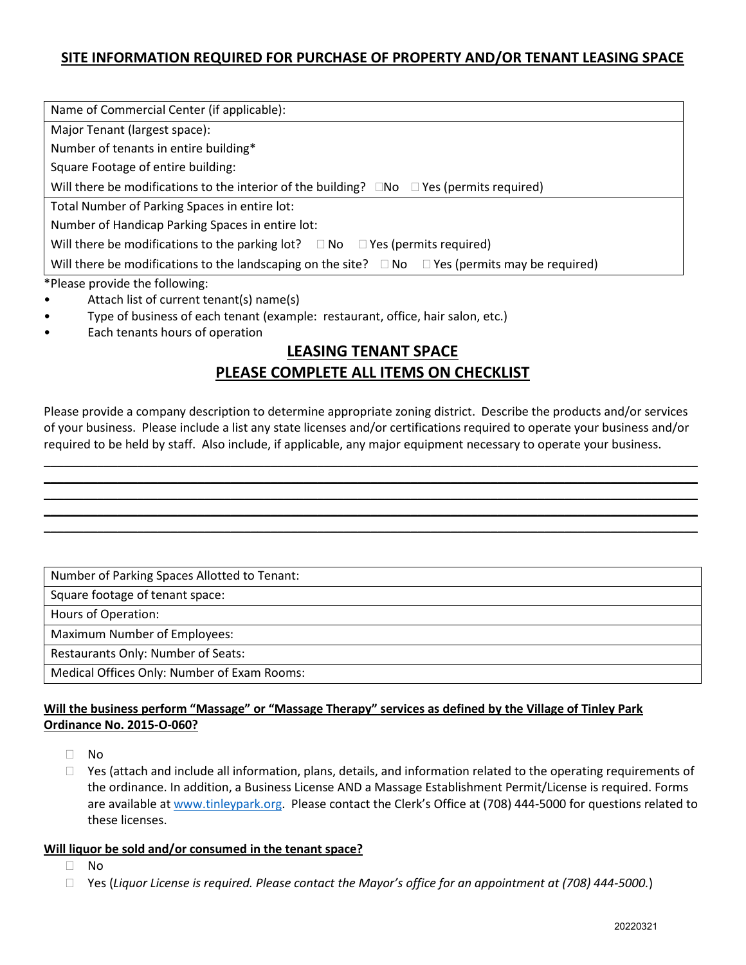## **SITE INFORMATION REQUIRED FOR PURCHASE OF PROPERTY AND/OR TENANT LEASING SPACE**

| Name of Commercial Center (if applicable):                                                                       |
|------------------------------------------------------------------------------------------------------------------|
| Major Tenant (largest space):                                                                                    |
| Number of tenants in entire building*                                                                            |
| Square Footage of entire building:                                                                               |
| Will there be modifications to the interior of the building? $\square$ No $\square$ Yes (permits required)       |
| Total Number of Parking Spaces in entire lot:                                                                    |
| Number of Handicap Parking Spaces in entire lot:                                                                 |
| Will there be modifications to the parking lot? $\square$ No $\square$ Yes (permits required)                    |
| Will there be modifications to the landscaping on the site? $\square$ No $\square$ Yes (permits may be required) |
| *Please provide the following:                                                                                   |

- Attach list of current tenant(s) name(s)
- Type of business of each tenant (example: restaurant, office, hair salon, etc.)
- Each tenants hours of operation

# **LEASING TENANT SPACE PLEASE COMPLETE ALL ITEMS ON CHECKLIST**

Please provide a company description to determine appropriate zoning district. Describe the products and/or services of your business. Please include a list any state licenses and/or certifications required to operate your business and/or required to be held by staff. Also include, if applicable, any major equipment necessary to operate your business.

 $\overline{\phantom{a}}$  , and the contract of the contract of the contract of the contract of the contract of the contract of the contract of the contract of the contract of the contract of the contract of the contract of the contrac \_\_\_\_\_\_\_\_\_\_\_\_\_\_\_\_\_\_\_\_\_\_\_\_\_\_\_\_\_\_\_\_\_\_\_\_\_\_\_\_\_\_\_\_\_\_\_\_\_\_\_\_\_\_\_\_\_\_\_\_\_\_\_\_\_\_\_\_\_\_\_\_\_\_\_\_\_\_\_\_\_\_\_\_\_\_\_\_\_\_\_\_\_\_\_\_\_\_ \_\_\_\_\_\_\_\_\_\_\_\_\_\_\_\_\_\_\_\_\_\_\_\_\_\_\_\_\_\_\_\_\_\_\_\_\_\_\_\_\_\_\_\_\_\_\_\_\_\_\_\_\_\_\_\_\_\_\_\_\_\_\_\_\_\_\_\_\_\_\_\_\_\_\_\_\_\_\_\_\_\_\_\_\_\_\_\_\_\_\_\_\_\_\_\_\_\_ \_\_\_\_\_\_\_\_\_\_\_\_\_\_\_\_\_\_\_\_\_\_\_\_\_\_\_\_\_\_\_\_\_\_\_\_\_\_\_\_\_\_\_\_\_\_\_\_\_\_\_\_\_\_\_\_\_\_\_\_\_\_\_\_\_\_\_\_\_\_\_\_\_\_\_\_\_\_\_\_\_\_\_\_\_\_\_\_\_\_\_\_\_\_\_\_\_\_ \_\_\_\_\_\_\_\_\_\_\_\_\_\_\_\_\_\_\_\_\_\_\_\_\_\_\_\_\_\_\_\_\_\_\_\_\_\_\_\_\_\_\_\_\_\_\_\_\_\_\_\_\_\_\_\_\_\_\_\_\_\_\_\_\_\_\_\_\_\_\_\_\_\_\_\_\_\_\_\_\_\_\_\_\_\_\_\_\_\_\_\_\_\_\_\_\_\_

Number of Parking Spaces Allotted to Tenant:

Square footage of tenant space:

Hours of Operation:

Maximum Number of Employees:

Restaurants Only: Number of Seats:

Medical Offices Only: Number of Exam Rooms:

#### **Will the business perform "Massage" or "Massage Therapy" services as defined by the Village of Tinley Park Ordinance No. 2015-O-060?**

- No
- $\Box$  Yes (attach and include all information, plans, details, and information related to the operating requirements of the ordinance. In addition, a Business License AND a Massage Establishment Permit/License is required. Forms are available at www.tinleypark.org. Please contact the Clerk's Office at (708) 444-5000 for questions related to these licenses.

#### **Will liquor be sold and/or consumed in the tenant space?**

- $\Box$  No
- Yes (*Liquor License is required. Please contact the Mayor's office for an appointment at (708) 444-5000.*)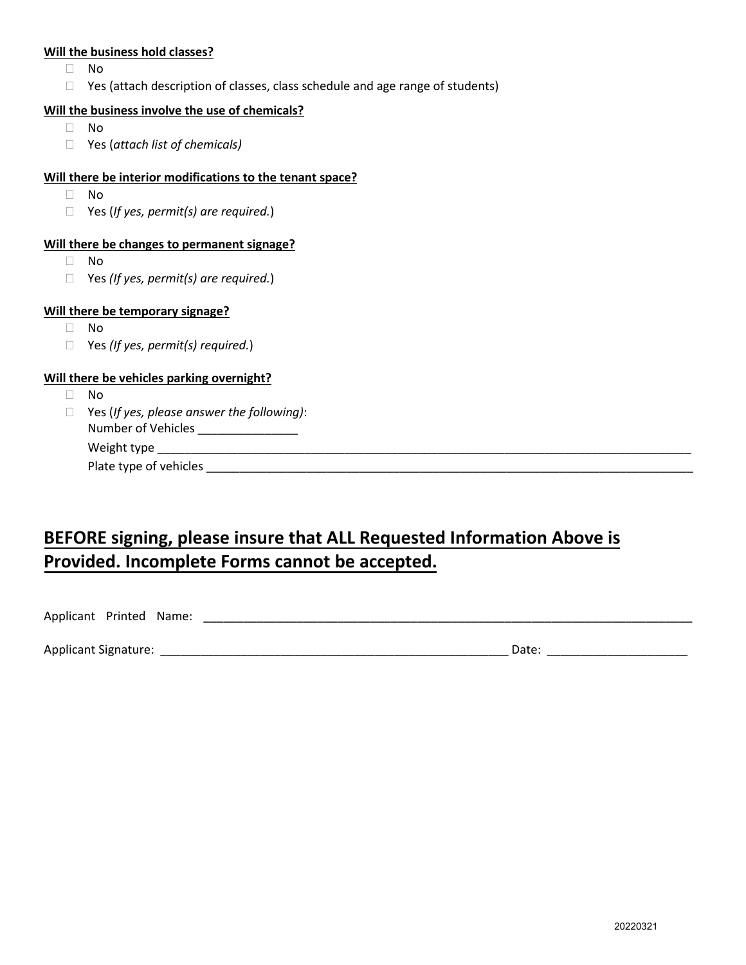#### **Will the business hold classes?**

- No
- $\Box$  Yes (attach description of classes, class schedule and age range of students)

#### **Will the business involve the use of chemicals?**

- $\Box$  No
- Yes (*attach list of chemicals)*

#### **Will there be interior modifications to the tenant space?**

- No
- Yes (*If yes, permit(s) are required.*)

#### **Will there be changes to permanent signage?**

- No
- Yes *(If yes, permit(s) are required.*)

#### **Will there be temporary signage?**

- No
- Yes *(If yes, permit(s) required.*)

#### **Will there be vehicles parking overnight?**

- No
- Yes (*If yes, please answer the following)*: Number of Vehicles \_\_\_\_\_\_\_\_\_\_\_\_\_\_\_\_ Weight type \_\_\_\_\_\_\_\_\_\_\_\_\_\_\_\_\_\_\_\_\_\_\_\_\_\_\_\_\_\_\_\_\_\_\_\_\_\_\_\_\_\_\_\_\_\_\_\_\_\_\_\_\_\_\_\_\_\_\_\_\_\_\_\_\_\_\_\_\_\_\_\_\_\_\_\_\_\_\_\_ Plate type of vehicles \_\_\_\_\_\_\_\_\_\_\_\_\_\_\_\_\_\_\_\_\_\_\_\_\_\_\_\_\_\_\_\_\_\_\_\_\_\_\_\_\_\_\_\_\_\_\_\_\_\_\_\_\_\_\_\_\_\_\_\_\_\_\_\_\_\_\_\_\_\_\_\_\_

# **BEFORE signing, please insure that ALL Requested Information Above is Provided. Incomplete Forms cannot be accepted.**

Applicant Printed Name: \_\_\_\_\_\_\_\_\_\_\_\_\_\_\_\_\_\_\_\_\_\_\_\_\_\_\_\_\_\_\_\_\_\_\_\_\_\_\_\_\_\_\_\_\_\_\_\_\_\_\_\_\_\_\_\_\_\_\_\_\_\_\_\_\_\_\_\_\_\_\_\_\_

| a signature :<br>Applicant<br>___<br>. . | iate<br><b>JULL</b><br>- - - |
|------------------------------------------|------------------------------|
|------------------------------------------|------------------------------|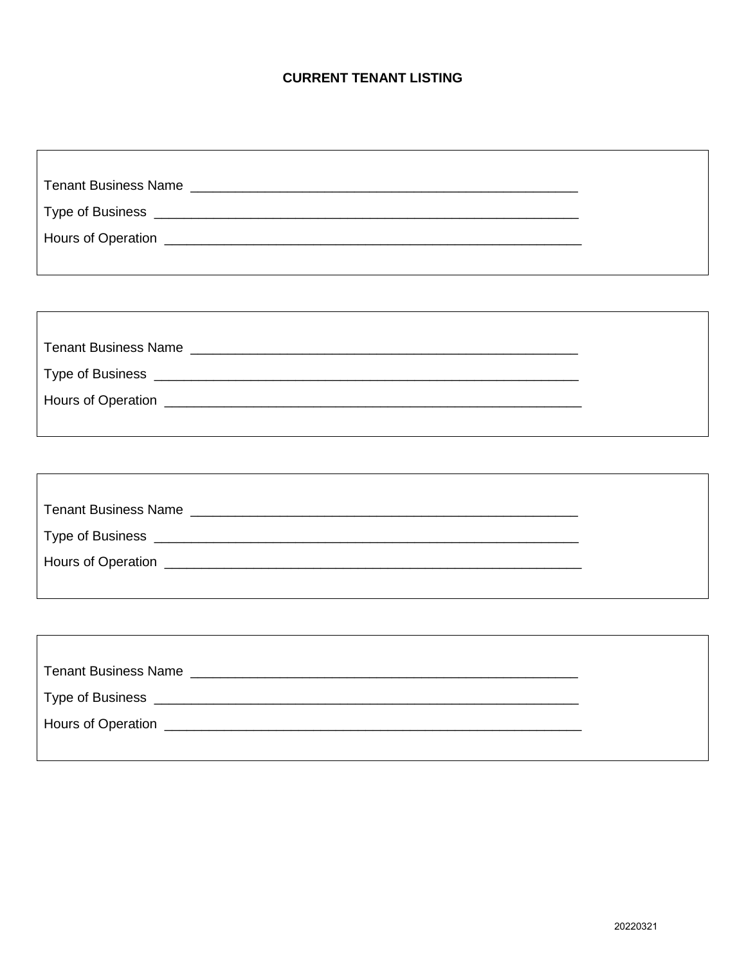# **CURRENT TENANT LISTING**

| Type of Business   |  |  |
|--------------------|--|--|
| Hours of Operation |  |  |
|                    |  |  |

| <b>Tenant Business Name</b><br><u> 2000 - 2000 - 2000 - 2000 - 2000 - 2000 - 2000 - 2000 - 2000 - 2000 - 2000 - 2000 - 2000 - 2000 - 2000 - 200</u> |
|-----------------------------------------------------------------------------------------------------------------------------------------------------|
|                                                                                                                                                     |
| Hours of Operation<br><u> 1989 - Jan Berling, menganturkan bertama di bertama dalam bertama dalam bertama dalam bertama dalam bertama d</u>         |
|                                                                                                                                                     |

| <b>Tenant Business Name</b>                  |
|----------------------------------------------|
| Type of Business ___________________________ |
|                                              |
|                                              |

٦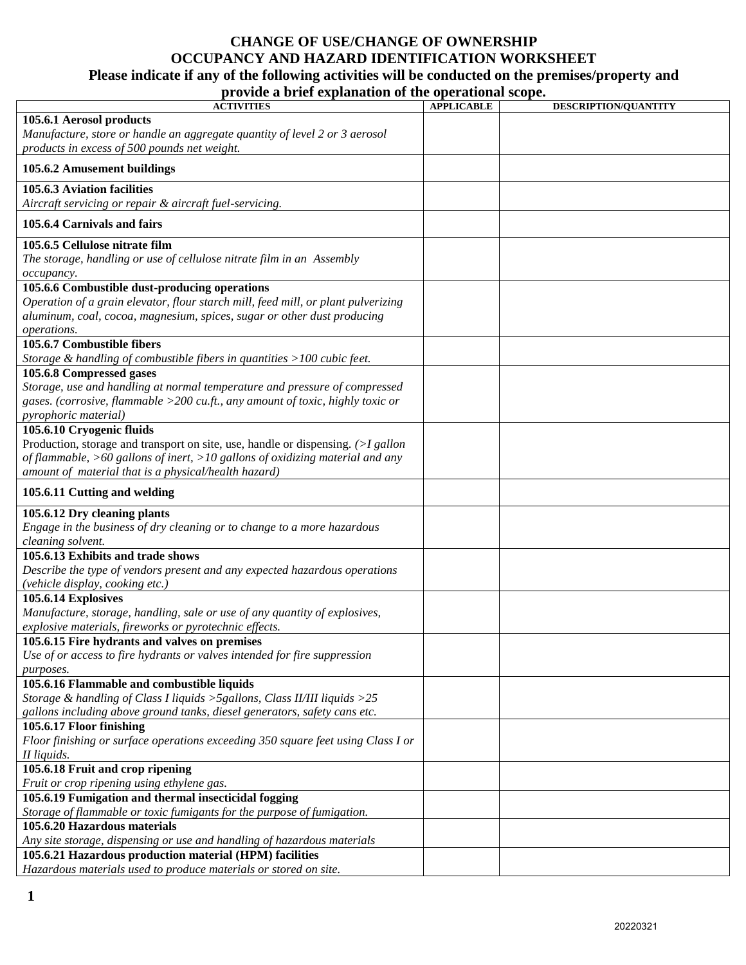# **CHANGE OF USE/CHANGE OF OWNERSHIP OCCUPANCY AND HAZARD IDENTIFICATION WORKSHEET**

# **Please indicate if any of the following activities will be conducted on the premises/property and**

|  |  | provide a brief explanation of the operational scope. |  |
|--|--|-------------------------------------------------------|--|
|  |  |                                                       |  |

| $\frac{1}{2}$<br><b>ACTIVITIES</b>                                                 | perumumi seoper<br><b>APPLICABLE</b> | <b>DESCRIPTION/QUANTITY</b> |
|------------------------------------------------------------------------------------|--------------------------------------|-----------------------------|
| 105.6.1 Aerosol products                                                           |                                      |                             |
|                                                                                    |                                      |                             |
| Manufacture, store or handle an aggregate quantity of level 2 or 3 aerosol         |                                      |                             |
| products in excess of 500 pounds net weight.                                       |                                      |                             |
| 105.6.2 Amusement buildings                                                        |                                      |                             |
| 105.6.3 Aviation facilities                                                        |                                      |                             |
| Aircraft servicing or repair & aircraft fuel-servicing.                            |                                      |                             |
|                                                                                    |                                      |                             |
| 105.6.4 Carnivals and fairs                                                        |                                      |                             |
| 105.6.5 Cellulose nitrate film                                                     |                                      |                             |
| The storage, handling or use of cellulose nitrate film in an Assembly              |                                      |                             |
| оссирапсу.                                                                         |                                      |                             |
| 105.6.6 Combustible dust-producing operations                                      |                                      |                             |
| Operation of a grain elevator, flour starch mill, feed mill, or plant pulverizing  |                                      |                             |
| aluminum, coal, cocoa, magnesium, spices, sugar or other dust producing            |                                      |                             |
|                                                                                    |                                      |                             |
| operations.<br>105.6.7 Combustible fibers                                          |                                      |                             |
|                                                                                    |                                      |                             |
| Storage & handling of combustible fibers in quantities $>100$ cubic feet.          |                                      |                             |
| 105.6.8 Compressed gases                                                           |                                      |                             |
| Storage, use and handling at normal temperature and pressure of compressed         |                                      |                             |
| gases. (corrosive, flammable $>$ 200 cu.ft., any amount of toxic, highly toxic or  |                                      |                             |
| pyrophoric material)                                                               |                                      |                             |
| 105.6.10 Cryogenic fluids                                                          |                                      |                             |
| Production, storage and transport on site, use, handle or dispensing. $(>I$ gallon |                                      |                             |
| of flammable, $>60$ gallons of inert, $>10$ gallons of oxidizing material and any  |                                      |                             |
| amount of material that is a physical/health hazard)                               |                                      |                             |
| 105.6.11 Cutting and welding                                                       |                                      |                             |
|                                                                                    |                                      |                             |
| 105.6.12 Dry cleaning plants                                                       |                                      |                             |
| Engage in the business of dry cleaning or to change to a more hazardous            |                                      |                             |
| cleaning solvent.                                                                  |                                      |                             |
| 105.6.13 Exhibits and trade shows                                                  |                                      |                             |
| Describe the type of vendors present and any expected hazardous operations         |                                      |                             |
| (vehicle display, cooking etc.)                                                    |                                      |                             |
| 105.6.14 Explosives                                                                |                                      |                             |
| Manufacture, storage, handling, sale or use of any quantity of explosives,         |                                      |                             |
| explosive materials, fireworks or pyrotechnic effects.                             |                                      |                             |
| 105.6.15 Fire hydrants and valves on premises                                      |                                      |                             |
| Use of or access to fire hydrants or valves intended for fire suppression          |                                      |                             |
| purposes.                                                                          |                                      |                             |
| 105.6.16 Flammable and combustible liquids                                         |                                      |                             |
| Storage & handling of Class I liquids > 5 gallons, Class II/III liquids > $25$     |                                      |                             |
| gallons including above ground tanks, diesel generators, safety cans etc.          |                                      |                             |
| 105.6.17 Floor finishing                                                           |                                      |                             |
|                                                                                    |                                      |                             |
| Floor finishing or surface operations exceeding 350 square feet using Class I or   |                                      |                             |
| II liquids.                                                                        |                                      |                             |
| 105.6.18 Fruit and crop ripening                                                   |                                      |                             |
| Fruit or crop ripening using ethylene gas.                                         |                                      |                             |
| 105.6.19 Fumigation and thermal insecticidal fogging                               |                                      |                             |
| Storage of flammable or toxic fumigants for the purpose of fumigation.             |                                      |                             |
| 105.6.20 Hazardous materials                                                       |                                      |                             |
| Any site storage, dispensing or use and handling of hazardous materials            |                                      |                             |
| 105.6.21 Hazardous production material (HPM) facilities                            |                                      |                             |
| Hazardous materials used to produce materials or stored on site.                   |                                      |                             |